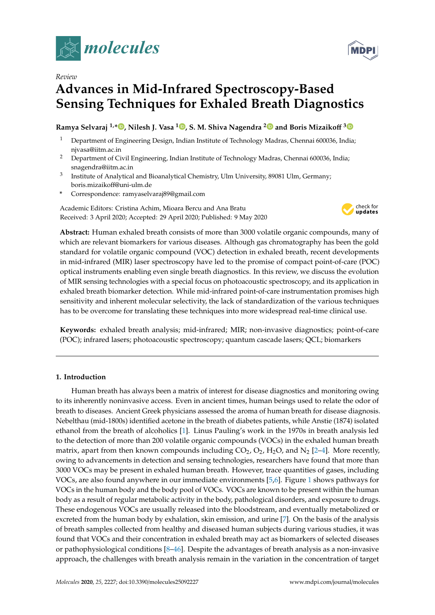

*Review*

# **Advances in Mid-Infrared Spectroscopy-Based Sensing Techniques for Exhaled Breath Diagnostics**

## **Ramya Selvaraj 1,\* , Nilesh J. Vasa <sup>1</sup> , S. M. Shiva Nagendra <sup>2</sup> and Boris Mizaiko**ff **3**

- <sup>1</sup> Department of Engineering Design, Indian Institute of Technology Madras, Chennai 600036, India; njvasa@iitm.ac.in
- <sup>2</sup> Department of Civil Engineering, Indian Institute of Technology Madras, Chennai 600036, India; snagendra@iitm.ac.in
- 3 Institute of Analytical and Bioanalytical Chemistry, Ulm University, 89081 Ulm, Germany; boris.mizaikoff@uni-ulm.de
- **\*** Correspondence: ramyaselvaraj89@gmail.com

Academic Editors: Cristina Achim, Mioara Bercu and Ana Bratu Received: 3 April 2020; Accepted: 29 April 2020; Published: 9 May 2020



**Abstract:** Human exhaled breath consists of more than 3000 volatile organic compounds, many of which are relevant biomarkers for various diseases. Although gas chromatography has been the gold standard for volatile organic compound (VOC) detection in exhaled breath, recent developments in mid-infrared (MIR) laser spectroscopy have led to the promise of compact point-of-care (POC) optical instruments enabling even single breath diagnostics. In this review, we discuss the evolution of MIR sensing technologies with a special focus on photoacoustic spectroscopy, and its application in exhaled breath biomarker detection. While mid-infrared point-of-care instrumentation promises high sensitivity and inherent molecular selectivity, the lack of standardization of the various techniques has to be overcome for translating these techniques into more widespread real-time clinical use.

**Keywords:** exhaled breath analysis; mid-infrared; MIR; non-invasive diagnostics; point-of-care (POC); infrared lasers; photoacoustic spectroscopy; quantum cascade lasers; QCL; biomarkers

## **1. Introduction**

Human breath has always been a matrix of interest for disease diagnostics and monitoring owing to its inherently noninvasive access. Even in ancient times, human beings used to relate the odor of breath to diseases. Ancient Greek physicians assessed the aroma of human breath for disease diagnosis. Nebelthau (mid-1800s) identified acetone in the breath of diabetes patients, while Anstie (1874) isolated ethanol from the breath of alcoholics [1]. Linus Pauling's work in the 1970s in breath analysis led to the detection of more than 200 volatile organic compounds (VOCs) in the exhaled human breath matrix, apart from then known compounds including  $CO_2$ ,  $O_2$ ,  $H_2O$ , and  $N_2$  [2–4]. More recently, owing to advancements in detection and sensing technologies, researchers have found that more than 3000 VOCs may be present in exhaled human breath. However, trace quantities of gases, including VOCs, are also found anywhere in our immediate environments [5,6]. Figure 1 shows pathways for VOCs in the human body and the body pool of VOCs. VOCs are known to be present within the human body as a result of regular metabolic activity in the body, pathological disorders, and exposure to drugs. These endogenous VOCs are usually released into the bloodstream, and eventually metabolized or excreted from the human body by exhalation, skin emission, and urine [7]. On the basis of the analysis of breath samples collected from healthy and diseased human subjects during various studies, it was found that VOCs and their concentration in exhaled breath may act as biomarkers of selected diseases or pathophysiological conditions  $[8–46]$ . Despite the advantages of breath analysis as a non-invasive approach, the challenges with breath analysis remain in the variation in the concentration of target

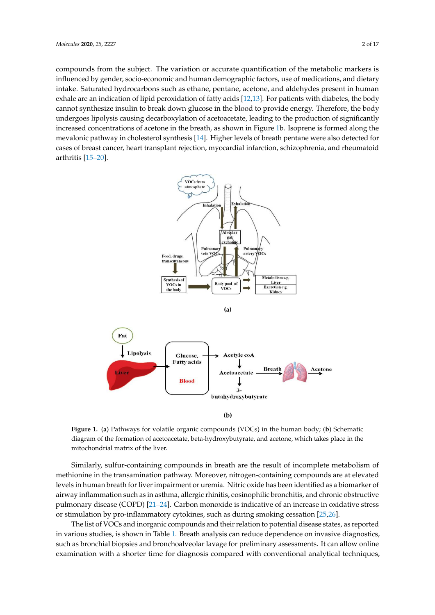compounds from the subject. The variation or accurate quantification of the metabolic markers is influenced by gender, socio-economic and human demographic factors, use of medications, and dietary intake. Saturated hydrocarbons such as ethane, pentane, acetone, and aldehydes present in human exhale are an indication of lipid peroxidation of fatty acids [12,13]. For patients with diabetes, the body cannot synthesize insulin to break down glucose in the blood to provide energy. Therefore, the body undergoes lipolysis causing decarboxylation of acetoacetate, leading to the production of significantly increased concentrations of acetone in the breath, as shown in Figure 1b. Isoprene is formed along the mevalonic pathway in cholesterol synthesis [14]. Higher levels of breath pentane were also detected for cases of breast cancer, heart transplant rejection, myocardial infarction, schizophrenia, and rheumatoid arthritis [15–20].



**(b)** 

**Figure 1.** (**a**) Pathways for volatile organic compounds (VOCs) in the human body; (**b**) Schematic diagram of the formation of acetoacetate, beta-hydroxybutyrate, and acetone, which takes place in the mitochondrial matrix of the liver.

Similarly, sulfur-containing compounds in breath are the result of incomplete metabolism of methionine in the transamination pathway. Moreover, nitrogen-containing compounds are at elevated levels in human breath for liver impairment or uremia. Nitric oxide has been identified as a biomarker of airway inflammation such as in asthma, allergic rhinitis, eosinophilic bronchitis, and chronic obstructive pulmonary disease (COPD) [21–24]. Carbon monoxide is indicative of an increase in oxidative stress or stimulation by pro-inflammatory cytokines, such as during smoking cessation [25,26].

The list of VOCs and inorganic compounds and their relation to potential disease states, as reported in various studies, is shown in Table 1. Breath analysis can reduce dependence on invasive diagnostics, such as bronchial biopsies and bronchoalveolar lavage for preliminary assessments. It can allow online examination with a shorter time for diagnosis compared with conventional analytical techniques,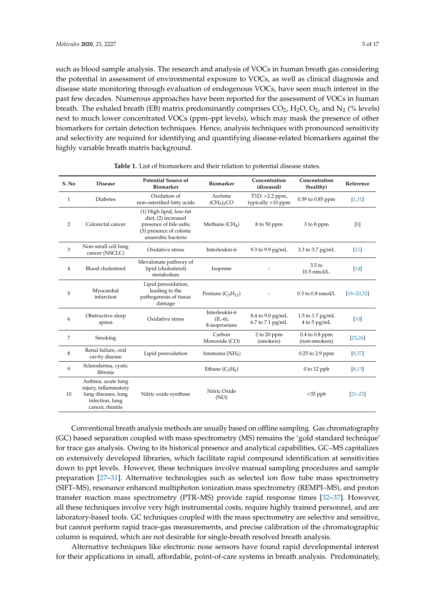such as blood sample analysis. The research and analysis of VOCs in human breath gas considering the potential in assessment of environmental exposure to VOCs, as well as clinical diagnosis and disease state monitoring through evaluation of endogenous VOCs, have seen much interest in the past few decades. Numerous approaches have been reported for the assessment of VOCs in human breath. The exhaled breath (EB) matrix predominantly comprises  $CO<sub>2</sub>$ , H<sub>2</sub>O,  $O<sub>2</sub>$ , and N<sub>2</sub> (% levels) next to much lower concentrated VOCs (ppm–ppt levels), which may mask the presence of other biomarkers for certain detection techniques. Hence, analysis techniques with pronounced sensitivity and selectivity are required for identifying and quantifying disease-related biomarkers against the highly variable breath matrix background.

| S. No | <b>Disease</b>                                                                                           | <b>Potential Source of</b><br><b>Biomarker</b>                                                                             | <b>Biomarker</b>                              | Concentration<br>(diseased)           | Concentration<br>(healthy)             | Reference         |
|-------|----------------------------------------------------------------------------------------------------------|----------------------------------------------------------------------------------------------------------------------------|-----------------------------------------------|---------------------------------------|----------------------------------------|-------------------|
| 1     | <b>Diabetes</b>                                                                                          | Oxidation of<br>non-osterified fatty acids                                                                                 | Acetone<br>(CH <sub>3</sub> ) <sub>2</sub> CO | $T1D: >2.2$ ppm,<br>typically >10 ppm | 0.39 to 0.85 ppm                       | [1,31]            |
| 2     | Colorectal cancer                                                                                        | (1) High lipid, low-fat<br>diet; (2) increased<br>presence of bile salts;<br>(3) presence of colonic<br>anaerobic bacteria | Methane $(CH_4)$                              | 8 to 50 ppm                           | $3$ to $8$ ppm                         | $\lceil 8 \rceil$ |
| 3     | Non-small cell lung<br>cancer (NSCLC)                                                                    | Oxidative stress                                                                                                           | Interleukin-6                                 | 9.3 to 9.9 pg/mL                      | 3.3 to 3.7 pg/mL                       | $[11]$            |
| 4     | Blood cholesterol                                                                                        | Mevalonate pathway of<br>lipid (cholesterol)<br>metabolism                                                                 | Isoprene                                      |                                       | 3.5 <sub>to</sub><br>10.5 nmol/L.      | $\sqrt{14}$       |
| 5     | Myocardial<br>infarction                                                                                 | Lipid peroxidation,<br>leading to the<br>pathogenesis of tissue<br>damage                                                  | Pentane $(C_5H_{12})$                         |                                       | $0.3$ to $0.8$ nmol/L                  | $[18 - 20, 32]$   |
| 6     | Obstructive sleep<br>apnea                                                                               | Oxidative stress                                                                                                           | Interleukin-6<br>$(IL-6)$ ,<br>8-isoprostane  | 8.4 to 9.0 pg/mL<br>6.7 to 7.1 pg/mL  | 1.5 to 1.7 $pg/mL$<br>$4$ to $5$ pg/mL | $[10]$            |
| 7     | Smoking                                                                                                  |                                                                                                                            | Carbon<br>Monoxide (CO)                       | 2 to 20 ppm<br>(smokers)              | $0.4$ to $0.8$ ppm<br>(non-smokers)    | [25, 26]          |
| 8     | Renal failure, oral<br>cavity disease                                                                    | Lipid peroxidation                                                                                                         | Ammonia (NH <sub>3</sub> )                    |                                       | 0.25 to 2.9 ppm                        | [9,37]            |
| 9     | Scleroderma, cystic<br>fibrosis                                                                          |                                                                                                                            | Ethane $(C_2H_6)$                             |                                       | $0$ to 12 ppb                          | [8, 13]           |
| 10    | Asthma, acute lung<br>injury, inflammatory<br>lung diseases, lung<br>infection, lung<br>cancer, rhinitis | Nitric oxide synthase                                                                                                      | Nitric Oxide<br>(NO)                          |                                       | $<$ 35 ppb                             | $[21 - 23]$       |

**Table 1.** List of biomarkers and their relation to potential disease states.

Conventional breath analysis methods are usually based on offline sampling. Gas chromatography (GC) based separation coupled with mass spectrometry (MS) remains the 'gold standard technique' for trace gas analysis. Owing to its historical presence and analytical capabilities, GC–MS capitalizes on extensively developed libraries, which facilitate rapid compound identification at sensitivities down to ppt levels. However, these techniques involve manual sampling procedures and sample preparation [27–31]. Alternative technologies such as selected ion flow tube mass spectrometry (SIFT–MS), resonance enhanced multiphoton ionization mass spectrometry (REMPI–MS), and proton transfer reaction mass spectrometry (PTR–MS) provide rapid response times [32–37]. However, all these techniques involve very high instrumental costs, require highly trained personnel, and are laboratory-based tools. GC techniques coupled with the mass spectrometry are selective and sensitive, but cannot perform rapid trace-gas measurements, and precise calibration of the chromatographic column is required, which are not desirable for single-breath resolved breath analysis.

Alternative techniques like electronic nose sensors have found rapid developmental interest for their applications in small, affordable, point-of-care systems in breath analysis. Predominately,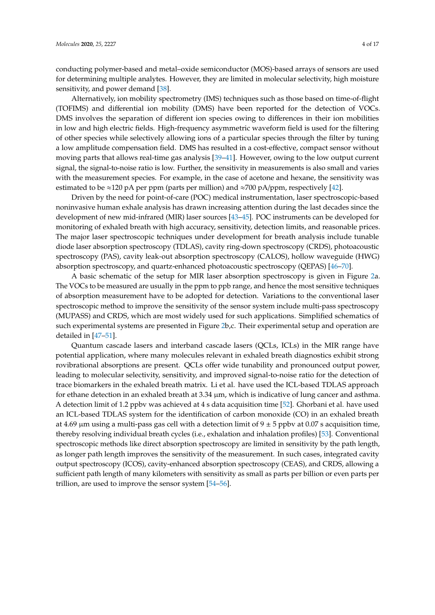conducting polymer-based and metal–oxide semiconductor (MOS)-based arrays of sensors are used for determining multiple analytes. However, they are limited in molecular selectivity, high moisture sensitivity, and power demand [38].

Alternatively, ion mobility spectrometry (IMS) techniques such as those based on time-of-flight (TOFIMS) and differential ion mobility (DMS) have been reported for the detection of VOCs. DMS involves the separation of different ion species owing to differences in their ion mobilities in low and high electric fields. High-frequency asymmetric waveform field is used for the filtering of other species while selectively allowing ions of a particular species through the filter by tuning a low amplitude compensation field. DMS has resulted in a cost-effective, compact sensor without moving parts that allows real-time gas analysis [39–41]. However, owing to the low output current signal, the signal-to-noise ratio is low. Further, the sensitivity in measurements is also small and varies with the measurement species. For example, in the case of acetone and hexane, the sensitivity was estimated to be ≈120 pA per ppm (parts per million) and ≈700 pA/ppm, respectively [42].

Driven by the need for point-of-care (POC) medical instrumentation, laser spectroscopic-based noninvasive human exhale analysis has drawn increasing attention during the last decades since the development of new mid-infrared (MIR) laser sources [43–45]. POC instruments can be developed for monitoring of exhaled breath with high accuracy, sensitivity, detection limits, and reasonable prices. The major laser spectroscopic techniques under development for breath analysis include tunable diode laser absorption spectroscopy (TDLAS), cavity ring-down spectroscopy (CRDS), photoacoustic spectroscopy (PAS), cavity leak-out absorption spectroscopy (CALOS), hollow waveguide (HWG) absorption spectroscopy, and quartz-enhanced photoacoustic spectroscopy (QEPAS) [46–70].

A basic schematic of the setup for MIR laser absorption spectroscopy is given in Figure 2a. The VOCs to be measured are usually in the ppm to ppb range, and hence the most sensitive techniques of absorption measurement have to be adopted for detection. Variations to the conventional laser spectroscopic method to improve the sensitivity of the sensor system include multi-pass spectroscopy (MUPASS) and CRDS, which are most widely used for such applications. Simplified schematics of such experimental systems are presented in Figure 2b,c. Their experimental setup and operation are detailed in [47–51].

Quantum cascade lasers and interband cascade lasers (QCLs, ICLs) in the MIR range have potential application, where many molecules relevant in exhaled breath diagnostics exhibit strong rovibrational absorptions are present. QCLs offer wide tunability and pronounced output power, leading to molecular selectivity, sensitivity, and improved signal-to-noise ratio for the detection of trace biomarkers in the exhaled breath matrix. Li et al. have used the ICL-based TDLAS approach for ethane detection in an exhaled breath at  $3.34 \mu m$ , which is indicative of lung cancer and asthma. A detection limit of 1.2 ppbv was achieved at 4 s data acquisition time [52]. Ghorbani et al. have used an ICL-based TDLAS system for the identification of carbon monoxide (CO) in an exhaled breath at 4.69  $\mu$ m using a multi-pass gas cell with a detection limit of 9  $\pm$  5 ppbv at 0.07 s acquisition time, thereby resolving individual breath cycles (i.e., exhalation and inhalation profiles) [53]. Conventional spectroscopic methods like direct absorption spectroscopy are limited in sensitivity by the path length, as longer path length improves the sensitivity of the measurement. In such cases, integrated cavity output spectroscopy (ICOS), cavity-enhanced absorption spectroscopy (CEAS), and CRDS, allowing a sufficient path length of many kilometers with sensitivity as small as parts per billion or even parts per trillion, are used to improve the sensor system [54–56].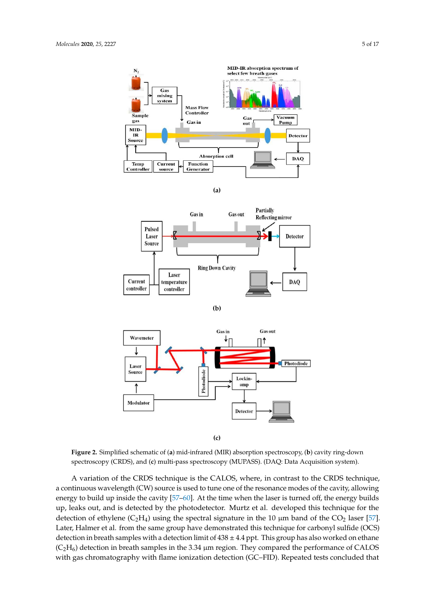

**(a)** 



**(b)** 



**(c)** 

**Figure 2.** Simplified schematic of (**a**) mid-infrared (MIR) absorption spectroscopy, (**b**) cavity ring-down spectroscopy (CRDS), and (**c**) multi-pass spectroscopy (MUPASS). (DAQ: Data Acquisition system).

A variation of the CRDS technique is the CALOS, where, in contrast to the CRDS technique, a continuous wavelength (CW) source is used to tune one of the resonance modes of the cavity, allowing energy to build up inside the cavity [57–60]. At the time when the laser is turned off, the energy builds up, leaks out, and is detected by the photodetector. Murtz et al. developed this technique for the detection of ethylene  $(C_2H_4)$  using the spectral signature in the 10  $\mu$ m band of the CO<sub>2</sub> laser [57]. Later, Halmer et al. from the same group have demonstrated this technique for carbonyl sulfide (OCS) detection in breath samples with a detection limit of  $438 \pm 4.4$  ppt. This group has also worked on ethane  $(C_2H_6)$  detection in breath samples in the 3.34 µm region. They compared the performance of CALOS with gas chromatography with flame ionization detection (GC–FID). Repeated tests concluded that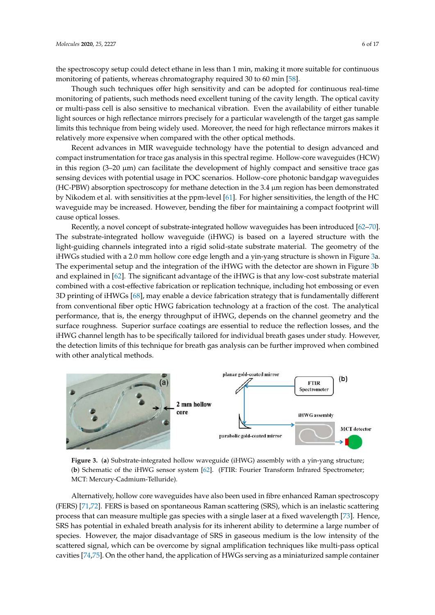the spectroscopy setup could detect ethane in less than 1 min, making it more suitable for continuous monitoring of patients, whereas chromatography required 30 to 60 min [58].

Though such techniques offer high sensitivity and can be adopted for continuous real-time monitoring of patients, such methods need excellent tuning of the cavity length. The optical cavity or multi-pass cell is also sensitive to mechanical vibration. Even the availability of either tunable light sources or high reflectance mirrors precisely for a particular wavelength of the target gas sample limits this technique from being widely used. Moreover, the need for high reflectance mirrors makes it relatively more expensive when compared with the other optical methods.

Recent advances in MIR waveguide technology have the potential to design advanced and compact instrumentation for trace gas analysis in this spectral regime. Hollow-core waveguides (HCW) in this region  $(3-20 \mu m)$  can facilitate the development of highly compact and sensitive trace gas sensing devices with potential usage in POC scenarios. Hollow-core photonic bandgap waveguides (HC-PBW) absorption spectroscopy for methane detection in the 3.4 µm region has been demonstrated by Nikodem et al. with sensitivities at the ppm-level [61]. For higher sensitivities, the length of the HC waveguide may be increased. However, bending the fiber for maintaining a compact footprint will cause optical losses.

Recently, a novel concept of substrate-integrated hollow waveguides has been introduced [62–70]. The substrate-integrated hollow waveguide (iHWG) is based on a layered structure with the light-guiding channels integrated into a rigid solid-state substrate material. The geometry of the iHWGs studied with a 2.0 mm hollow core edge length and a yin-yang structure is shown in Figure 3a. The experimental setup and the integration of the iHWG with the detector are shown in Figure 3b and explained in [62]. The significant advantage of the iHWG is that any low-cost substrate material combined with a cost-effective fabrication or replication technique, including hot embossing or even 3D printing of iHWGs [68], may enable a device fabrication strategy that is fundamentally different from conventional fiber optic HWG fabrication technology at a fraction of the cost. The analytical performance, that is, the energy throughput of iHWG, depends on the channel geometry and the surface roughness. Superior surface coatings are essential to reduce the reflection losses, and the iHWG channel length has to be specifically tailored for individual breath gases under study. However, the detection limits of this technique for breath gas analysis can be further improved when combined with other analytical methods.



**Figure 3.** (**a**) Substrate-integrated hollow waveguide (iHWG) assembly with a yin-yang structure; (**b**) Schematic of the iHWG sensor system [62]. (FTIR: Fourier Transform Infrared Spectrometer; MCT: Mercury-Cadmium-Telluride).

Alternatively, hollow core waveguides have also been used in fibre enhanced Raman spectroscopy (FERS) [71,72]. FERS is based on spontaneous Raman scattering (SRS), which is an inelastic scattering process that can measure multiple gas species with a single laser at a fixed wavelength [73]. Hence, SRS has potential in exhaled breath analysis for its inherent ability to determine a large number of species. However, the major disadvantage of SRS in gaseous medium is the low intensity of the scattered signal, which can be overcome by signal amplification techniques like multi-pass optical cavities [74,75]. On the other hand, the application of HWGs serving as a miniaturized sample container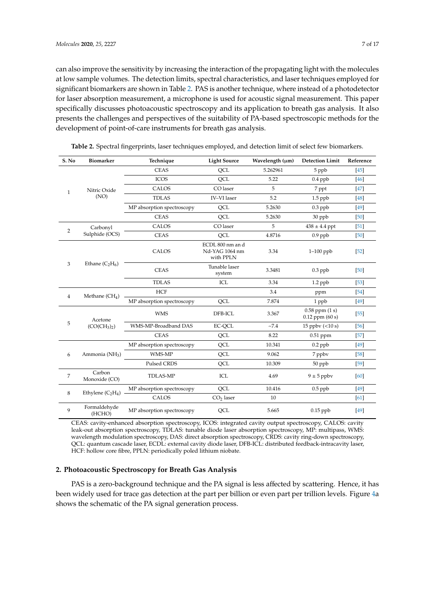can also improve the sensitivity by increasing the interaction of the propagating light with the molecules at low sample volumes. The detection limits, spectral characteristics, and laser techniques employed for significant biomarkers are shown in Table 2. PAS is another technique, where instead of a photodetector for laser absorption measurement, a microphone is used for acoustic signal measurement. This paper specifically discusses photoacoustic spectroscopy and its application to breath gas analysis. It also presents the challenges and perspectives of the suitability of PA-based spectroscopic methods for the development of point-of-care instruments for breath gas analysis.

| S. No          | Biomarker                                       | Technique                  | <b>Light Source</b>                             | Wavelength (µm) | <b>Detection Limit</b>                    | Reference |
|----------------|-------------------------------------------------|----------------------------|-------------------------------------------------|-----------------|-------------------------------------------|-----------|
| $\mathbf{1}$   | Nitric Oxide<br>(NO)                            | <b>CEAS</b>                | QCL                                             | 5.262961        | 5 ppb                                     | $[45]$    |
|                |                                                 | <b>ICOS</b>                | <b>OCL</b>                                      | 5.22            | $0.4$ ppb                                 | $[46]$    |
|                |                                                 | CALOS                      | CO laser                                        | 5               | 7 ppt                                     | [47]      |
|                |                                                 | <b>TDLAS</b>               | <b>IV-VI</b> laser                              | 5.2             | $1.5$ ppb                                 | [48]      |
|                |                                                 | MP absorption spectroscopy | QCL                                             | 5.2630          | $0.3$ ppb                                 | [49]      |
|                |                                                 | <b>CEAS</b>                | OCL                                             | 5.2630          | 30 ppb                                    | [50]      |
| $\overline{2}$ | Carbonyl<br>Sulphide (OCS)                      | CALOS                      | CO laser                                        | 5               | $438 \pm 4.4$ ppt                         | $[51]$    |
|                |                                                 | <b>CEAS</b>                | QCL                                             | 4.8716          | $0.9$ ppb                                 | [50]      |
| 3              | Ethane $(C_2H_6)$                               | CALOS                      | ECDL 800 nm an d<br>Nd-YAG 1064 nm<br>with PPLN | 3.34            | $1-100$ ppb                               | $[52]$    |
|                |                                                 | <b>CEAS</b>                | Tunable laser<br>system                         | 3.3481          | $0.3$ ppb                                 | [50]      |
|                |                                                 | <b>TDLAS</b>               | ICL                                             | 3.34            | $1.2$ ppb                                 | $[53]$    |
| 4              | Methane $(CH_4)$                                | <b>HCF</b>                 |                                                 | 3.4             | ppm                                       | [54]      |
|                |                                                 | MP absorption spectroscopy | QCL                                             | 7.874           | 1 ppb                                     | $[49]$    |
| 5              | Acetone<br>(CO(CH <sub>3</sub> ) <sub>2</sub> ) | <b>WMS</b>                 | DFB-ICL                                         | 3.367           | $0.58$ ppm $(1 s)$<br>$0.12$ ppm $(60 s)$ | $[55]$    |
|                |                                                 | WMS-MP-Broadband DAS       | EC-QCL                                          | ~27.4           | 15 ppbv $(<10 s)$                         | [56]      |
|                |                                                 | <b>CEAS</b>                | QCL                                             | 8.22            | $0.51$ ppm                                | $[57]$    |
| 6              | Ammonia (NH <sub>3</sub> )                      | MP absorption spectroscopy | QCL                                             | 10.341          | $0.2$ ppb                                 | $[49]$    |
|                |                                                 | WMS-MP                     | QCL                                             | 9.062           | 7 ppbv                                    | [58]      |
|                |                                                 | Pulsed CRDS                | QCL                                             | 10.309          | 50 ppb                                    | $[59]$    |
| $\overline{7}$ | Carbon<br>Monoxide (CO)                         | <b>TDLAS-MP</b>            | ICL                                             | 4.69            | $9 \pm 5$ ppbv                            | 60        |
| 8              | Ethylene $(C_2H_4)$                             | MP absorption spectroscopy | QCL                                             | 10.416          | $0.5$ ppb                                 | [49]      |
|                |                                                 | <b>CALOS</b>               | CO <sub>2</sub> laser                           | 10              |                                           | [61]      |
| 9              | Formaldehyde<br>(HCHO)                          | MP absorption spectroscopy | QCL                                             | 5.665           | $0.15$ ppb                                | $[49]$    |

**Table 2.** Spectral fingerprints, laser techniques employed, and detection limit of select few biomarkers.

CEAS: cavity-enhanced absorption spectroscopy, ICOS: integrated cavity output spectroscopy, CALOS: cavity leak-out absorption spectroscopy, TDLAS: tunable diode laser absorption spectroscopy, MP: multipass, WMS: wavelength modulation spectroscopy, DAS: direct absorption spectroscopy, CRDS: cavity ring-down spectroscopy, QCL: quantum cascade laser, ECDL: external cavity diode laser, DFB-ICL: distributed feedback-intracavity laser, HCF: hollow core fibre, PPLN: periodically poled lithium niobate.

## **2. Photoacoustic Spectroscopy for Breath Gas Analysis**

PAS is a zero-background technique and the PA signal is less affected by scattering. Hence, it has been widely used for trace gas detection at the part per billion or even part per trillion levels. Figure 4a shows the schematic of the PA signal generation process.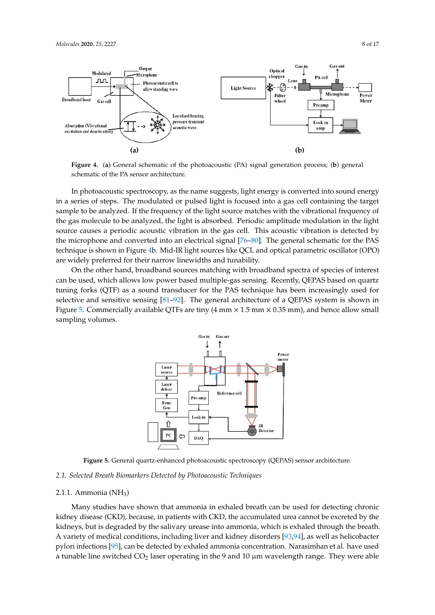

**Figure 4.** (**a**) General schematic of the photoacoustic (PA) signal generation process; (**b**) general schematic of the PA sensor architecture.

In photoacoustic spectroscopy, as the name suggests, light energy is converted into sound energy in a series of steps. The modulated or pulsed light is focused into a gas cell containing the target sample to be analyzed. If the frequency of the light source matches with the vibrational frequency of the gas molecule to be analyzed, the light is absorbed. Periodic amplitude modulation in the light source causes a periodic acoustic vibration in the gas cell. This acoustic vibration is detected by the microphone and converted into an electrical signal [76–80]. The general schematic for the PAS technique is shown in Figure 4b. Mid-IR light sources like QCL and optical parametric oscillator (OPO) are widely preferred for their narrow linewidths and tunability.

On the other hand, broadband sources matching with broadband spectra of species of interest can be used, which allows low power based multiple-gas sensing. Recently, QEPAS based on quartz tuning forks (QTF) as a sound transducer for the PAS technique has been increasingly used for selective and sensitive sensing [81–92]. The general architecture of a QEPAS system is shown in Figure 5. Commercially available QTFs are tiny  $(4 \text{ mm} \times 1.5 \text{ mm} \times 0.35 \text{ mm})$ , and hence allow small sampling volumes.



**Figure 5.** General quartz-enhanced photoacoustic spectroscopy (QEPAS) sensor architecture.

## *2.1. Selected Breath Biomarkers Detected by Photoacoustic Techniques*

#### 2.1.1. Ammonia  $(NH_3)$

Many studies have shown that ammonia in exhaled breath can be used for detecting chronic kidney disease (CKD), because, in patients with CKD, the accumulated urea cannot be excreted by the kidneys, but is degraded by the salivary urease into ammonia, which is exhaled through the breath. A variety of medical conditions, including liver and kidney disorders [93,94], as well as helicobacter pylori infections [95], can be detected by exhaled ammonia concentration. Narasimhan et al. have used a tunable line switched  $CO<sub>2</sub>$  laser operating in the 9 and 10  $\mu$ m wavelength range. They were able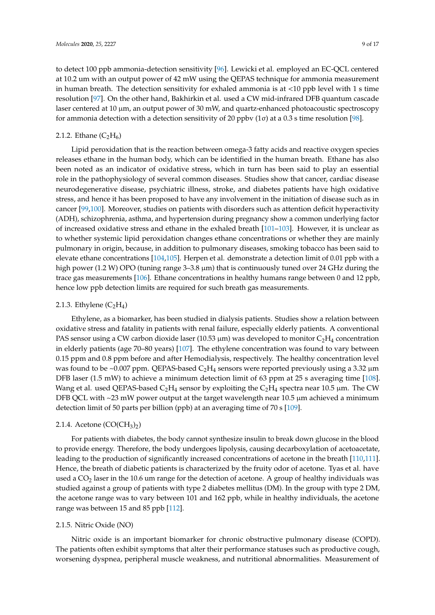to detect 100 ppb ammonia-detection sensitivity [96]. Lewicki et al. employed an EC-QCL centered at 10.2 um with an output power of 42 mW using the QEPAS technique for ammonia measurement in human breath. The detection sensitivity for exhaled ammonia is at <10 ppb level with 1 s time resolution [97]. On the other hand, Bakhirkin et al. used a CW mid-infrared DFB quantum cascade laser centered at 10 µm, an output power of 30 mW, and quartz-enhanced photoacoustic spectroscopy for ammonia detection with a detection sensitivity of 20 ppbv (1σ) at a 0.3 s time resolution [98].

#### 2.1.2. Ethane  $(C_2H_6)$

Lipid peroxidation that is the reaction between omega-3 fatty acids and reactive oxygen species releases ethane in the human body, which can be identified in the human breath. Ethane has also been noted as an indicator of oxidative stress, which in turn has been said to play an essential role in the pathophysiology of several common diseases. Studies show that cancer, cardiac disease neurodegenerative disease, psychiatric illness, stroke, and diabetes patients have high oxidative stress, and hence it has been proposed to have any involvement in the initiation of disease such as in cancer [99,100]. Moreover, studies on patients with disorders such as attention deficit hyperactivity (ADH), schizophrenia, asthma, and hypertension during pregnancy show a common underlying factor of increased oxidative stress and ethane in the exhaled breath [101–103]. However, it is unclear as to whether systemic lipid peroxidation changes ethane concentrations or whether they are mainly pulmonary in origin, because, in addition to pulmonary diseases, smoking tobacco has been said to elevate ethane concentrations [104,105]. Herpen et al. demonstrate a detection limit of 0.01 ppb with a high power (1.2 W) OPO (tuning range 3–3.8  $\mu$ m) that is continuously tuned over 24 GHz during the trace gas measurements [106]. Ethane concentrations in healthy humans range between 0 and 12 ppb, hence low ppb detection limits are required for such breath gas measurements.

#### 2.1.3. Ethylene  $(C_2H_4)$

Ethylene, as a biomarker, has been studied in dialysis patients. Studies show a relation between oxidative stress and fatality in patients with renal failure, especially elderly patients. A conventional PAS sensor using a CW carbon dioxide laser (10.53  $\mu$ m) was developed to monitor C<sub>2</sub>H<sub>4</sub> concentration in elderly patients (age 70–80 years) [107]. The ethylene concentration was found to vary between 0.15 ppm and 0.8 ppm before and after Hemodialysis, respectively. The healthy concentration level was found to be ~0.007 ppm. QEPAS-based  $C_2H_4$  sensors were reported previously using a 3.32  $\mu$ m DFB laser (1.5 mW) to achieve a minimum detection limit of 63 ppm at 25 s averaging time [108]. Wang et al. used QEPAS-based  $C_2H_4$  sensor by exploiting the  $C_2H_4$  spectra near 10.5 µm. The CW DFB QCL with ~23 mW power output at the target wavelength near 10.5 µm achieved a minimum detection limit of 50 parts per billion (ppb) at an averaging time of 70 s [109].

#### 2.1.4. Acetone  $(CO(CH_3)_2)$

For patients with diabetes, the body cannot synthesize insulin to break down glucose in the blood to provide energy. Therefore, the body undergoes lipolysis, causing decarboxylation of acetoacetate, leading to the production of significantly increased concentrations of acetone in the breath [110,111]. Hence, the breath of diabetic patients is characterized by the fruity odor of acetone. Tyas et al. have used a  $CO<sub>2</sub>$  laser in the 10.6 um range for the detection of acetone. A group of healthy individuals was studied against a group of patients with type 2 diabetes mellitus (DM). In the group with type 2 DM, the acetone range was to vary between 101 and 162 ppb, while in healthy individuals, the acetone range was between 15 and 85 ppb [112].

## 2.1.5. Nitric Oxide (NO)

Nitric oxide is an important biomarker for chronic obstructive pulmonary disease (COPD). The patients often exhibit symptoms that alter their performance statuses such as productive cough, worsening dyspnea, peripheral muscle weakness, and nutritional abnormalities. Measurement of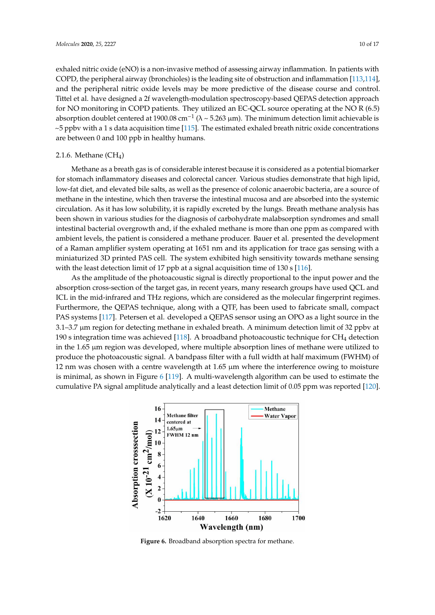exhaled nitric oxide (eNO) is a non-invasive method of assessing airway inflammation. In patients with COPD, the peripheral airway (bronchioles) is the leading site of obstruction and inflammation [113,114], and the peripheral nitric oxide levels may be more predictive of the disease course and control. Tittel et al. have designed a 2f wavelength-modulation spectroscopy-based QEPAS detection approach for NO monitoring in COPD patients. They utilized an EC-QCL source operating at the NO R (6.5) absorption doublet centered at 1900.08 cm<sup>-1</sup> ( $\lambda \sim 5.263$  µm). The minimum detection limit achievable is  $\sim$ 5 ppbv with a 1 s data acquisition time [115]. The estimated exhaled breath nitric oxide concentrations are between 0 and 100 ppb in healthy humans.

#### 2.1.6. Methane  $(CH_4)$

Methane as a breath gas is of considerable interest because it is considered as a potential biomarker for stomach inflammatory diseases and colorectal cancer. Various studies demonstrate that high lipid, low-fat diet, and elevated bile salts, as well as the presence of colonic anaerobic bacteria, are a source of methane in the intestine, which then traverse the intestinal mucosa and are absorbed into the systemic circulation. As it has low solubility, it is rapidly excreted by the lungs. Breath methane analysis has been shown in various studies for the diagnosis of carbohydrate malabsorption syndromes and small intestinal bacterial overgrowth and, if the exhaled methane is more than one ppm as compared with ambient levels, the patient is considered a methane producer. Bauer et al. presented the development of a Raman amplifier system operating at 1651 nm and its application for trace gas sensing with a miniaturized 3D printed PAS cell. The system exhibited high sensitivity towards methane sensing with the least detection limit of 17 ppb at a signal acquisition time of 130 s [116].

As the amplitude of the photoacoustic signal is directly proportional to the input power and the absorption cross-section of the target gas, in recent years, many research groups have used QCL and ICL in the mid-infrared and THz regions, which are considered as the molecular fingerprint regimes. Furthermore, the QEPAS technique, along with a QTF, has been used to fabricate small, compact PAS systems [117]. Petersen et al. developed a QEPAS sensor using an OPO as a light source in the 3.1–3.7 µm region for detecting methane in exhaled breath. A minimum detection limit of 32 ppbv at 190 s integration time was achieved [118]. A broadband photoacoustic technique for  $CH_4$  detection in the  $1.65 \mu m$  region was developed, where multiple absorption lines of methane were utilized to produce the photoacoustic signal. A bandpass filter with a full width at half maximum (FWHM) of 12 nm was chosen with a centre wavelength at  $1.65 \mu m$  where the interference owing to moisture is minimal, as shown in Figure 6 [119]. A multi-wavelength algorithm can be used to estimate the cumulative PA signal amplitude analytically and a least detection limit of 0.05 ppm was reported [120].



**Figure 6.** Broadband absorption spectra for methane.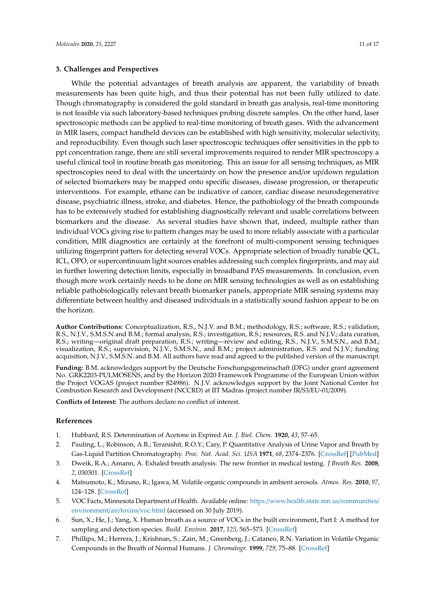#### **3. Challenges and Perspectives**

While the potential advantages of breath analysis are apparent, the variability of breath measurements has been quite high, and thus their potential has not been fully utilized to date. Though chromatography is considered the gold standard in breath gas analysis, real-time monitoring is not feasible via such laboratory-based techniques probing discrete samples. On the other hand, laser spectroscopic methods can be applied to real-time monitoring of breath gases. With the advancement in MIR lasers, compact handheld devices can be established with high sensitivity, molecular selectivity, and reproducibility. Even though such laser spectroscopic techniques offer sensitivities in the ppb to ppt concentration range, there are still several improvements required to render MIR spectroscopy a useful clinical tool in routine breath gas monitoring. This an issue for all sensing techniques, as MIR spectroscopies need to deal with the uncertainty on how the presence and/or up/down regulation of selected biomarkers may be mapped onto specific diseases, disease progression, or therapeutic interventions. For example, ethane can be indicative of cancer, cardiac disease neurodegenerative disease, psychiatric illness, stroke, and diabetes. Hence, the pathobiology of the breath compounds has to be extensively studied for establishing diagnostically relevant and usable correlations between biomarkers and the disease. As several studies have shown that, indeed, multiple rather than individual VOCs giving rise to pattern changes may be used to more reliably associate with a particular condition, MIR diagnostics are certainly at the forefront of multi-component sensing techniques utilizing fingerprint patters for detecting several VOCs. Appropriate selection of broadly tunable QCL, ICL, OPO, or supercontinuum light sources enables addressing such complex fingerprints, and may aid in further lowering detection limits, especially in broadband PAS measurements. In conclusion, even though more work certainly needs to be done on MIR sensing technologies as well as on establishing reliable pathobiologically relevant breath biomarker panels, appropriate MIR sensing systems may differentiate between healthy and diseased individuals in a statistically sound fashion appear to be on the horizon.

**Author Contributions:** Conceptualization, R.S., N.J.V. and B.M.; methodology, R.S.; software, R.S.; validation, R.S., N.J.V., S.M.S.N and B.M.; formal analysis, R.S.; investigation, R.S.; resources, R.S. and N.J.V.; data curation, R.S.; writing—original draft preparation, R.S.; writing—review and editing, R.S., N.J.V., S.M.S.N., and B.M.; visualization, R.S.; supervision, N.J.V., S.M.S.N., and B.M.; project administration, R.S. and N.J.V.; funding acquisition, N.J.V., S.M.S.N. and B.M. All authors have read and agreed to the published version of the manuscript.

**Funding:** B.M. acknowledges support by the Deutsche Forschungsgemeinschaft (DFG) under grant agreement No. GRK2203-PULMOSENS, and by the Horizon 2020 Framework Programme of the European Union within the Project VOGAS (project number 824986). N.J.V. acknowledges support by the Joint National Center for Combustion Research and Development (NCCRD) at IIT Madras (project number IR/S3/EU-01/2009).

**Conflicts of Interest:** The authors declare no conflict of interest.

## **References**

- 1. Hubbard, R.S. Determination of Acetone in Expired Air. *J. Biol. Chem.* **1920**, *43*, 57–65.
- 2. Pauling, L.; Robinson, A.B.; Teranishit, R.O.Y.; Cary, P. Quantitative Analysis of Urine Vapor and Breath by Gas-Liquid Partition Chromatography. *Proc. Nat. Acad. Sci. USA* **1971**, *68*, 2374–2376. [CrossRef] [PubMed]
- 3. Dweik, R.A.; Amann, A. Exhaled breath analysis: The new frontier in medical testing. *J Breath Res.* **2008**, *2*, 030301. [CrossRef]
- 4. Matsumoto, K.; Mizuno, R.; Igawa, M. Volatile organic compounds in ambient aerosols. *Atmos. Res.* **2010**, *97*, 124–128. [CrossRef]
- 5. VOC Facts, Minnesota Department of Health. Available online: https://www.health.state.mn.us/communities/ environment/air/toxins/voc.html (accessed on 30 July 2019).
- 6. Sun, X.; He, J.; Yang, X. Human breath as a source of VOCs in the built environment, Part I: A method for sampling and detection species. *Build. Environ.* **2017**, *125*, 565–573. [CrossRef]
- 7. Phillips, M.; Herrera, J.; Krishnan, S.; Zain, M.; Greenberg, J.; Cataneo, R.N. Variation in Volatile Organic Compounds in the Breath of Normal Humans. *J. Chromatogr.* **1999**, *729*, 75–88. [CrossRef]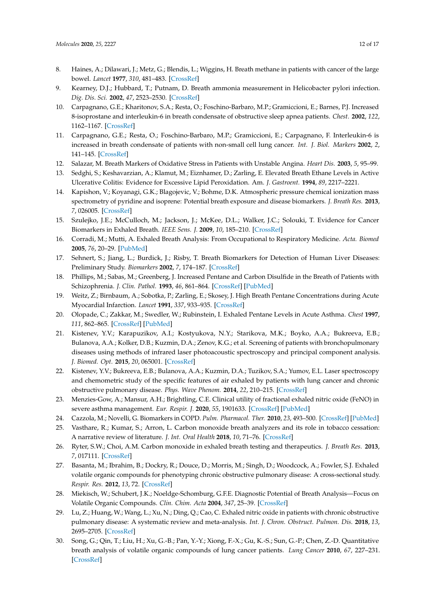- 8. Haines, A.; Dilawari, J.; Metz, G.; Blendis, L.; Wiggins, H. Breath methane in patients with cancer of the large bowel. *Lancet* **1977**, *310*, 481–483. [CrossRef]
- 9. Kearney, D.J.; Hubbard, T.; Putnam, D. Breath ammonia measurement in Helicobacter pylori infection. *Dig. Dis. Sci.* **2002**, *47*, 2523–2530. [CrossRef]
- 10. Carpagnano, G.E.; Kharitonov, S.A.; Resta, O.; Foschino-Barbaro, M.P.; Gramiccioni, E.; Barnes, P.J. Increased 8-isoprostane and interleukin-6 in breath condensate of obstructive sleep apnea patients. *Chest.* **2002**, *122*, 1162–1167. [CrossRef]
- 11. Carpagnano, G.E.; Resta, O.; Foschino-Barbaro, M.P.; Gramiccioni, E.; Carpagnano, F. Interleukin-6 is increased in breath condensate of patients with non-small cell lung cancer. *Int. J. Biol. Markers* **2002**, *2*, 141–145. [CrossRef]
- 12. Salazar, M. Breath Markers of Oxidative Stress in Patients with Unstable Angina. *Heart Dis.* **2003**, *5*, 95–99.
- 13. Sedghi, S.; Keshavarzian, A.; Klamut, M.; Eiznhamer, D.; Zarling, E. Elevated Breath Ethane Levels in Active Ulcerative Colitis: Evidence for Excessive Lipid Peroxidation. Am. *J. Gastroent.* **1994**, *89*, 2217–2221.
- 14. Kapishon, V.; Koyanagi, G.K.; Blagojevic, V.; Bohme, D.K. Atmospheric pressure chemical ionization mass spectrometry of pyridine and isoprene: Potential breath exposure and disease biomarkers. *J. Breath Res.* **2013**, *7*, 026005. [CrossRef]
- 15. Szulejko, J.E.; McCulloch, M.; Jackson, J.; McKee, D.L.; Walker, J.C.; Solouki, T. Evidence for Cancer Biomarkers in Exhaled Breath. *IEEE Sens. J.* **2009**, *10*, 185–210. [CrossRef]
- 16. Corradi, M.; Mutti, A. Exhaled Breath Analysis: From Occupational to Respiratory Medicine. *Acta. Biomed* **2005**, *76*, 20–29. [PubMed]
- 17. Sehnert, S.; Jiang, L.; Burdick, J.; Risby, T. Breath Biomarkers for Detection of Human Liver Diseases: Preliminary Study. *Biomarkers* **2002**, *7*, 174–187. [CrossRef]
- 18. Phillips, M.; Sabas, M.; Greenberg, J. Increased Pentane and Carbon Disulfide in the Breath of Patients with Schizophrenia. *J. Clin. Pathol.* **1993**, *46*, 861–864. [CrossRef] [PubMed]
- 19. Weitz, Z.; Birnbaum, A.; Sobotka, P.; Zarling, E.; Skosey, J. High Breath Pentane Concentrations during Acute Myocardial Infarction. *Lancet* **1991**, *337*, 933–935. [CrossRef]
- 20. Olopade, C.; Zakkar, M.; Swedler, W.; Rubinstein, I. Exhaled Pentane Levels in Acute Asthma. *Chest* **1997**, *111*, 862–865. [CrossRef] [PubMed]
- 21. Kistenev, Y.V.; Karapuzikov, A.I.; Kostyukova, N.Y.; Starikova, M.K.; Boyko, A.A.; Bukreeva, E.B.; Bulanova, A.A.; Kolker, D.B.; Kuzmin, D.A.; Zenov, K.G.; et al. Screening of patients with bronchopulmonary diseases using methods of infrared laser photoacoustic spectroscopy and principal component analysis. *J. Biomed. Opt.* **2015**, *20*, 065001. [CrossRef]
- 22. Kistenev, Y.V.; Bukreeva, E.B.; Bulanova, A.A.; Kuzmin, D.A.; Tuzikov, S.A.; Yumov, E.L. Laser spectroscopy and chemometric study of the specific features of air exhaled by patients with lung cancer and chronic obstructive pulmonary disease. *Phys. Wave Phenom.* **2014**, *22*, 210–215. [CrossRef]
- 23. Menzies-Gow, A.; Mansur, A.H.; Brightling, C.E. Clinical utility of fractional exhaled nitric oxide (FeNO) in severe asthma management. *Eur. Respir. J.* **2020**, *55*, 1901633. [CrossRef] [PubMed]
- 24. Cazzola, M.; Novelli, G. Biomarkers in COPD. *Pulm. Pharmacol. Ther.* **2010**, *23*, 493–500. [CrossRef] [PubMed]
- 25. Vasthare, R.; Kumar, S.; Arron, L. Carbon monoxide breath analyzers and its role in tobacco cessation: A narrative review of literature. *J. Int. Oral Health* **2018**, *10*, 71–76. [CrossRef]
- 26. Ryter, S.W.; Choi, A.M. Carbon monoxide in exhaled breath testing and therapeutics. *J. Breath Res.* **2013**, *7*, 017111. [CrossRef]
- 27. Basanta, M.; Ibrahim, B.; Dockry, R.; Douce, D.; Morris, M.; Singh, D.; Woodcock, A.; Fowler, S.J. Exhaled volatile organic compounds for phenotyping chronic obstructive pulmonary disease: A cross-sectional study. *Respir. Res.* **2012**, *13*, 72. [CrossRef]
- 28. Miekisch, W.; Schubert, J.K.; Noeldge-Schomburg, G.F.E. Diagnostic Potential of Breath Analysis—Focus on Volatile Organic Compounds. *Clin. Chim. Acta* **2004**, *347*, 25–39. [CrossRef]
- 29. Lu, Z.; Huang, W.; Wang, L.; Xu, N.; Ding, Q.; Cao, C. Exhaled nitric oxide in patients with chronic obstructive pulmonary disease: A systematic review and meta-analysis. *Int. J. Chron. Obstruct. Pulmon. Dis.* **2018**, *13*, 2695–2705. [CrossRef]
- 30. Song, G.; Qin, T.; Liu, H.; Xu, G.-B.; Pan, Y.-Y.; Xiong, F.-X.; Gu, K.-S.; Sun, G.-P.; Chen, Z.-D. Quantitative breath analysis of volatile organic compounds of lung cancer patients. *Lung Cancer* **2010**, *67*, 227–231. [CrossRef]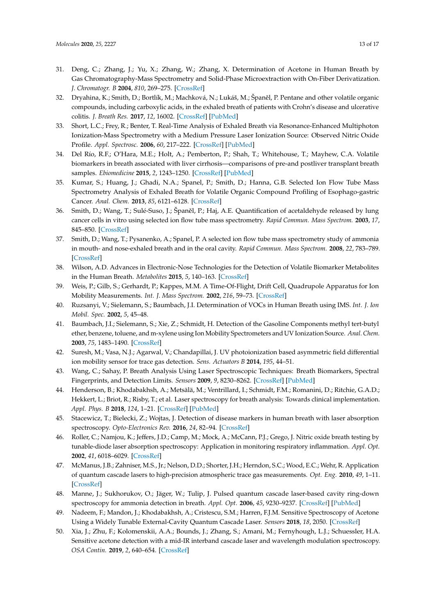- 31. Deng, C.; Zhang, J.; Yu, X.; Zhang, W.; Zhang, X. Determination of Acetone in Human Breath by Gas Chromatography-Mass Spectrometry and Solid-Phase Microextraction with On-Fiber Derivatization. *J. Chromatogr. B* **2004**, *810*, 269–275. [CrossRef]
- 32. Dryahina, K.; Smith, D.; Bortlík, M.; Machková, N.; Lukáš, M.; Španěl, P. Pentane and other volatile organic compounds, including carboxylic acids, in the exhaled breath of patients with Crohn's disease and ulcerative colitis. *J. Breath Res.* **2017**, *12*, 16002. [CrossRef] [PubMed]
- 33. Short, L.C.; Frey, R.; Benter, T. Real-Time Analysis of Exhaled Breath via Resonance-Enhanced Multiphoton Ionization-Mass Spectrometry with a Medium Pressure Laser Ionization Source: Observed Nitric Oxide Profile. *Appl. Spectrosc.* **2006**, *60*, 217–222. [CrossRef] [PubMed]
- 34. Del Río, R.F.; O'Hara, M.E.; Holt, A.; Pemberton, P.; Shah, T.; Whitehouse, T.; Mayhew, C.A. Volatile biomarkers in breath associated with liver cirrhosis—comparisons of pre-and postliver transplant breath samples. *Ebiomedicine* **2015**, *2*, 1243–1250. [CrossRef] [PubMed]
- 35. Kumar, S.; Huang, J.; Ghadi, N.A.; Spanel, P.; Smith, D.; Hanna, G.B. Selected Ion Flow Tube Mass Spectrometry Analysis of Exhaled Breath for Volatile Organic Compound Profiling of Esophago-gastric Cancer. *Anal. Chem.* **2013**, *85*, 6121–6128. [CrossRef]
- 36. Smith, D.; Wang, T.; Sulé-Suso, J.; Španěl, P.; Haj, A.E. Quantification of acetaldehyde released by lung cancer cells in vitro using selected ion flow tube mass spectrometry. *Rapid Commun. Mass Spectrom.* **2003**, *17*, 845–850. [CrossRef]
- 37. Smith, D.; Wang, T.; Pysanenko, A.; Spanel, P. A selected ion flow tube mass spectrometry study of ammonia in mouth- and nose-exhaled breath and in the oral cavity. *Rapid Commun. Mass Spectrom.* **2008**, *22*, 783–789. [CrossRef]
- 38. Wilson, A.D. Advances in Electronic-Nose Technologies for the Detection of Volatile Biomarker Metabolites in the Human Breath. *Metabolites* **2015**, *5*, 140–163. [CrossRef]
- 39. Weis, P.; Gilb, S.; Gerhardt, P.; Kappes, M.M. A Time-Of-Flight, Drift Cell, Quadrupole Apparatus for Ion Mobility Measurements. *Int. J. Mass Spectrom.* **2002**, *216*, 59–73. [CrossRef]
- 40. Ruzsanyi, V.; Sielemann, S.; Baumbach, J.I. Determination of VOCs in Human Breath using IMS. *Int. J. Ion Mobil. Spec.* **2002**, *5*, 45–48.
- 41. Baumbach, J.I.; Sielemann, S.; Xie, Z.; Schmidt, H. Detection of the Gasoline Components methyl tert-butyl ether, benzene, toluene, and m-xylene using Ion Mobility Spectrometers and UV Ionization Source. *Anal. Chem.* **2003**, *75*, 1483–1490. [CrossRef]
- 42. Suresh, M.; Vasa, N.J.; Agarwal, V.; Chandapillai, J. UV photoionization based asymmetric field differential ion mobility sensor for trace gas detection. *Sens. Actuators B* **2014**, *195*, 44–51.
- 43. Wang, C.; Sahay, P. Breath Analysis Using Laser Spectroscopic Techniques: Breath Biomarkers, Spectral Fingerprints, and Detection Limits. *Sensors* **2009**, *9*, 8230–8262. [CrossRef] [PubMed]
- 44. Henderson, B.; Khodabakhsh, A.; Metsälä, M.; Ventrillard, I.; Schmidt, F.M.; Romanini, D.; Ritchie, G.A.D.; Hekkert, L.; Briot, R.; Risby, T.; et al. Laser spectroscopy for breath analysis: Towards clinical implementation. *Appl. Phys. B* **2018**, *124*, 1–21. [CrossRef] [PubMed]
- 45. Stacewicz, T.; Bielecki, Z.; Wojtas, J. Detection of disease markers in human breath with laser absorption spectroscopy. *Opto-Electronics Rev.* **2016**, *24*, 82–94. [CrossRef]
- 46. Roller, C.; Namjou, K.; Jeffers, J.D.; Camp, M.; Mock, A.; McCann, P.J.; Grego, J. Nitric oxide breath testing by tunable-diode laser absorption spectroscopy: Application in monitoring respiratory inflammation. *Appl. Opt.* **2002**, *41*, 6018–6029. [CrossRef]
- 47. McManus, J.B.; Zahniser, M.S., Jr.; Nelson, D.D.; Shorter, J.H.; Herndon, S.C.; Wood, E.C.; Wehr, R. Application of quantum cascade lasers to high-precision atmospheric trace gas measurements. *Opt. Eng.* **2010**, *49*, 1–11. [CrossRef]
- 48. Manne, J.; Sukhorukov, O.; Jäger, W.; Tulip, J. Pulsed quantum cascade laser-based cavity ring-down spectroscopy for ammonia detection in breath. *Appl. Opt.* **2006**, *45*, 9230–9237. [CrossRef] [PubMed]
- 49. Nadeem, F.; Mandon, J.; Khodabakhsh, A.; Cristescu, S.M.; Harren, F.J.M. Sensitive Spectroscopy of Acetone Using a Widely Tunable External-Cavity Quantum Cascade Laser. *Sensors* **2018**, *18*, 2050. [CrossRef]
- 50. Xia, J.; Zhu, F.; Kolomenskii, A.A.; Bounds, J.; Zhang, S.; Amani, M.; Fernyhough, L.J.; Schuessler, H.A. Sensitive acetone detection with a mid-IR interband cascade laser and wavelength modulation spectroscopy. *OSA Contin.* **2019**, *2*, 640–654. [CrossRef]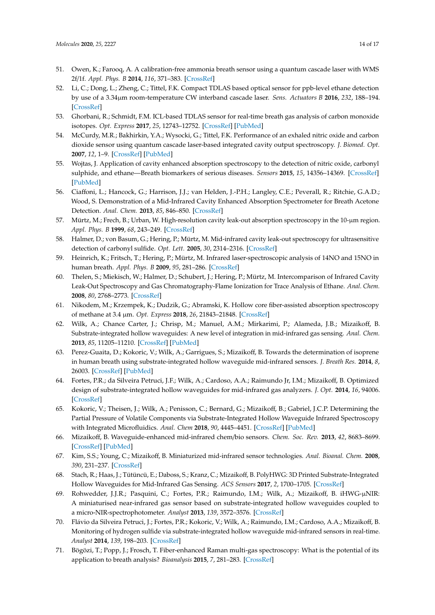- 51. Owen, K.; Farooq, A. A calibration-free ammonia breath sensor using a quantum cascade laser with WMS 2f/1f. *Appl. Phys. B* **2014**, *116*, 371–383. [CrossRef]
- 52. Li, C.; Dong, L.; Zheng, C.; Tittel, F.K. Compact TDLAS based optical sensor for ppb-level ethane detection by use of a 3.34µm room-temperature CW interband cascade laser. *Sens. Actuators B* **2016**, *232*, 188–194. [CrossRef]
- 53. Ghorbani, R.; Schmidt, F.M. ICL-based TDLAS sensor for real-time breath gas analysis of carbon monoxide isotopes. *Opt. Express* **2017**, *25*, 12743–12752. [CrossRef] [PubMed]
- 54. McCurdy, M.R.; Bakhirkin, Y.A.; Wysocki, G.; Tittel, F.K. Performance of an exhaled nitric oxide and carbon dioxide sensor using quantum cascade laser-based integrated cavity output spectroscopy. *J. Biomed. Opt.* **2007**, *12*, 1–9. [CrossRef] [PubMed]
- 55. Wojtas, J. Application of cavity enhanced absorption spectroscopy to the detection of nitric oxide, carbonyl sulphide, and ethane—Breath biomarkers of serious diseases. *Sensors* **2015**, *15*, 14356–14369. [CrossRef] [PubMed]
- 56. Ciaffoni, L.; Hancock, G.; Harrison, J.J.; van Helden, J.-P.H.; Langley, C.E.; Peverall, R.; Ritchie, G.A.D.; Wood, S. Demonstration of a Mid-Infrared Cavity Enhanced Absorption Spectrometer for Breath Acetone Detection. *Anal. Chem.* **2013**, *85*, 846–850. [CrossRef]
- 57. Mürtz, M.; Frech, B.; Urban, W. High-resolution cavity leak-out absorption spectroscopy in the 10-µm region. *Appl. Phys. B* **1999**, *68*, 243–249. [CrossRef]
- 58. Halmer, D.; von Basum, G.; Hering, P.; Mürtz, M. Mid-infrared cavity leak-out spectroscopy for ultrasensitive detection of carbonyl sulfide. *Opt. Lett.* **2005**, *30*, 2314–2316. [CrossRef]
- 59. Heinrich, K.; Fritsch, T.; Hering, P.; Mürtz, M. Infrared laser-spectroscopic analysis of 14NO and 15NO in human breath. *Appl. Phys. B* **2009**, *95*, 281–286. [CrossRef]
- 60. Thelen, S.; Miekisch, W.; Halmer, D.; Schubert, J.; Hering, P.; Mürtz, M. Intercomparison of Infrared Cavity Leak-Out Spectroscopy and Gas Chromatography-Flame Ionization for Trace Analysis of Ethane. *Anal. Chem.* **2008**, *80*, 2768–2773. [CrossRef]
- 61. Nikodem, M.; Krzempek, K.; Dudzik, G.; Abramski, K. Hollow core fiber-assisted absorption spectroscopy of methane at 3.4 µm. *Opt. Express* **2018**, *26*, 21843–21848. [CrossRef]
- 62. Wilk, A.; Chance Carter, J.; Chrisp, M.; Manuel, A.M.; Mirkarimi, P.; Alameda, J.B.; Mizaikoff, B. Substrate-integrated hollow waveguides: A new level of integration in mid-infrared gas sensing. *Anal. Chem.* **2013**, *85*, 11205–11210. [CrossRef] [PubMed]
- 63. Perez-Guaita, D.; Kokoric, V.; Wilk, A.; Garrigues, S.; Mizaikoff, B. Towards the determination of isoprene in human breath using substrate-integrated hollow waveguide mid-infrared sensors. *J. Breath Res.* **2014**, *8*, 26003. [CrossRef] [PubMed]
- 64. Fortes, P.R.; da Silveira Petruci, J.F.; Wilk, A.; Cardoso, A.A.; Raimundo Jr, I.M.; Mizaikoff, B. Optimized design of substrate-integrated hollow waveguides for mid-infrared gas analyzers. *J. Opt.* **2014**, *16*, 94006. [CrossRef]
- 65. Kokoric, V.; Theisen, J.; Wilk, A.; Penisson, C.; Bernard, G.; Mizaikoff, B.; Gabriel, J.C.P. Determining the Partial Pressure of Volatile Components via Substrate-Integrated Hollow Waveguide Infrared Spectroscopy with Integrated Microfluidics. *Anal. Chem* **2018**, *90*, 4445–4451. [CrossRef] [PubMed]
- 66. Mizaikoff, B. Waveguide-enhanced mid-infrared chem/bio sensors. *Chem. Soc. Rev.* **2013**, *42*, 8683–8699. [CrossRef] [PubMed]
- 67. Kim, S.S.; Young, C.; Mizaikoff, B. Miniaturized mid-infrared sensor technologies. *Anal. Bioanal. Chem.* **2008**, *390*, 231–237. [CrossRef]
- 68. Stach, R.; Haas, J.; Tütüncü, E.; Daboss, S.; Kranz, C.; Mizaikoff, B. PolyHWG: 3D Printed Substrate-Integrated Hollow Waveguides for Mid-Infrared Gas Sensing. *ACS Sensors* **2017**, *2*, 1700–1705. [CrossRef]
- 69. Rohwedder, J.J.R.; Pasquini, C.; Fortes, P.R.; Raimundo, I.M.; Wilk, A.; Mizaikoff, B. iHWG-µNIR: A miniaturised near-infrared gas sensor based on substrate-integrated hollow waveguides coupled to a micro-NIR-spectrophotometer. *Analyst* **2013**, *139*, 3572–3576. [CrossRef]
- 70. Flávio da Silveira Petruci, J.; Fortes, P.R.; Kokoric, V.; Wilk, A.; Raimundo, I.M.; Cardoso, A.A.; Mizaikoff, B. Monitoring of hydrogen sulfide via substrate-integrated hollow waveguide mid-infrared sensors in real-time. *Analyst* **2014**, *139*, 198–203. [CrossRef]
- 71. Bögözi, T.; Popp, J.; Frosch, T. Fiber-enhanced Raman multi-gas spectroscopy: What is the potential of its application to breath analysis? *Bioanalysis* **2015**, *7*, 281–283. [CrossRef]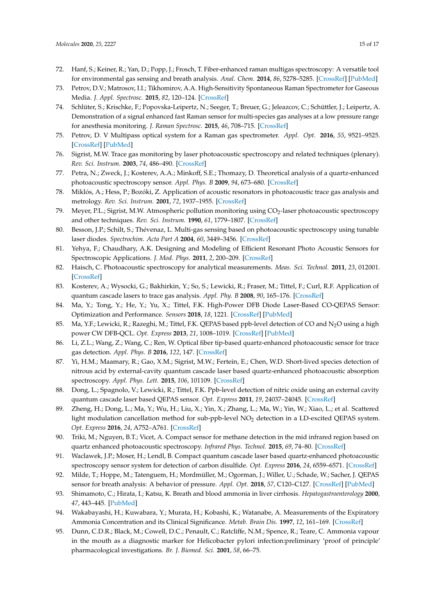- 72. Hanf, S.; Keiner, R.; Yan, D.; Popp, J.; Frosch, T. Fiber-enhanced raman multigas spectroscopy: A versatile tool for environmental gas sensing and breath analysis. *Anal. Chem.* **2014**, *86*, 5278–5285. [CrossRef] [PubMed]
- 73. Petrov, D.V.; Matrosov, I.I.; Tikhomirov, A.A. High-Sensitivity Spontaneous Raman Spectrometer for Gaseous Media. *J. Appl. Spectrosc.* **2015**, *82*, 120–124. [CrossRef]
- 74. Schlüter, S.; Krischke, F.; Popovska-Leipertz, N.; Seeger, T.; Breuer, G.; Jeleazcov, C.; Schüttler, J.; Leipertz, A. Demonstration of a signal enhanced fast Raman sensor for multi-species gas analyses at a low pressure range for anesthesia monitoring. *J. Raman Spectrosc.* **2015**, *46*, 708–715. [CrossRef]
- 75. Petrov, D. V Multipass optical system for a Raman gas spectrometer. *Appl. Opt.* **2016**, *55*, 9521–9525. [CrossRef] [PubMed]
- 76. Sigrist, M.W. Trace gas monitoring by laser photoacoustic spectroscopy and related techniques (plenary). *Rev. Sci. Instrum.* **2003**, *74*, 486–490. [CrossRef]
- 77. Petra, N.; Zweck, J.; Kosterev, A.A.; Minkoff, S.E.; Thomazy, D. Theoretical analysis of a quartz-enhanced photoacoustic spectroscopy sensor. *Appl. Phys. B* **2009**, *94*, 673–680. [CrossRef]
- 78. Miklós, A.; Hess, P.; Bozóki, Z. Application of acoustic resonators in photoacoustic trace gas analysis and metrology. *Rev. Sci. Instrum.* **2001**, *72*, 1937–1955. [CrossRef]
- 79. Meyer, P.L.; Sigrist, M.W. Atmospheric pollution monitoring using  $\text{CO}_2$ -laser photoacoustic spectroscopy and other techniques. *Rev. Sci. Instrum.* **1990**, *61*, 1779–1807. [CrossRef]
- 80. Besson, J.P.; Schilt, S.; Thévenaz, L. Multi-gas sensing based on photoacoustic spectroscopy using tunable laser diodes. *Spectrochim. Acta Part A* **2004**, *60*, 3449–3456. [CrossRef]
- 81. Yehya, F.; Chaudhary, A.K. Designing and Modeling of Efficient Resonant Photo Acoustic Sensors for Spectroscopic Applications. *J. Mod. Phys.* **2011**, *2*, 200–209. [CrossRef]
- 82. Haisch, C. Photoacoustic spectroscopy for analytical measurements. *Meas. Sci. Technol.* **2011**, *23*, 012001. [CrossRef]
- 83. Kosterev, A.; Wysocki, G.; Bakhirkin, Y.; So, S.; Lewicki, R.; Fraser, M.; Tittel, F.; Curl, R.F. Application of quantum cascade lasers to trace gas analysis. *Appl. Phy. B* **2008**, *90*, 165–176. [CrossRef]
- 84. Ma, Y.; Tong, Y.; He, Y.; Yu, X.; Tittel, F.K. High-Power DFB Diode Laser-Based CO-QEPAS Sensor: Optimization and Performance. *Sensors* **2018**, *18*, 1221. [CrossRef] [PubMed]
- 85. Ma, Y.F.; Lewicki, R.; Razeghi, M.; Tittel, F.K. QEPAS based ppb-level detection of CO and N<sub>2</sub>O using a high power CW DFB-QCL. *Opt. Express* **2013**, *21*, 1008–1019. [CrossRef] [PubMed]
- 86. Li, Z.L.; Wang, Z.; Wang, C.; Ren, W. Optical fiber tip-based quartz-enhanced photoacoustic sensor for trace gas detection. *Appl. Phys. B* **2016**, *122*, 147. [CrossRef]
- 87. Yi, H.M.; Maamary, R.; Gao, X.M.; Sigrist, M.W.; Fertein, E.; Chen, W.D. Short-lived species detection of nitrous acid by external-cavity quantum cascade laser based quartz-enhanced photoacoustic absorption spectroscopy. *Appl. Phys. Lett.* **2015**, *106*, 101109. [CrossRef]
- 88. Dong, L.; Spagnolo, V.; Lewicki, R.; Tittel, F.K. Ppb-level detection of nitric oxide using an external cavity quantum cascade laser based QEPAS sensor. *Opt. Express* **2011**, *19*, 24037–24045. [CrossRef]
- 89. Zheng, H.; Dong, L.; Ma, Y.; Wu, H.; Liu, X.; Yin, X.; Zhang, L.; Ma, W.; Yin, W.; Xiao, L.; et al. Scattered light modulation cancellation method for sub-ppb-level NO<sup>2</sup> detection in a LD-excited QEPAS system. *Opt. Express* **2016**, *24*, A752–A761. [CrossRef]
- 90. Triki, M.; Nguyen, B.T.; Vicet, A. Compact sensor for methane detection in the mid infrared region based on quartz enhanced photoacoustic spectroscopy. *Infrared Phys. Technol.* **2015**, *69*, 74–80. [CrossRef]
- 91. Waclawek, J.P.; Moser, H.; Lendl, B. Compact quantum cascade laser based quartz-enhanced photoacoustic spectroscopy sensor system for detection of carbon disulfide. *Opt. Express* **2016**, *24*, 6559–6571. [CrossRef]
- 92. Milde, T.; Hoppe, M.; Tatenguem, H.; Mordmüller, M.; Ogorman, J.; Willer, U.; Schade, W.; Sacher, J. QEPAS sensor for breath analysis: A behavior of pressure. *Appl. Opt.* **2018**, *57*, C120–C127. [CrossRef] [PubMed]
- 93. Shimamoto, C.; Hirata, I.; Katsu, K. Breath and blood ammonia in liver cirrhosis. *Hepatogastroenterology* **2000**, *47*, 443–445. [PubMed]
- 94. Wakabayashi, H.; Kuwabara, Y.; Murata, H.; Kobashi, K.; Watanabe, A. Measurements of the Expiratory Ammonia Concentration and its Clinical Significance. *Metab. Brain Dis.* **1997**, *12*, 161–169. [CrossRef]
- 95. Dunn, C.D.R.; Black, M.; Cowell, D.C.; Penault, C.; Ratcliffe, N.M.; Spence, R.; Teare, C. Ammonia vapour in the mouth as a diagnostic marker for Helicobacter pylori infection:preliminary 'proof of principle' pharmacological investigations. *Br. J. Biomed. Sci.* **2001**, *58*, 66–75.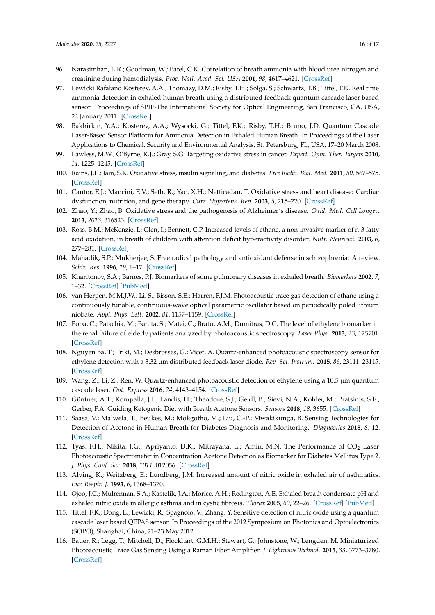- 96. Narasimhan, L.R.; Goodman, W.; Patel, C.K. Correlation of breath ammonia with blood urea nitrogen and creatinine during hemodialysis. *Proc. Natl. Acad. Sci. USA* **2001**, *98*, 4617–4621. [CrossRef]
- 97. Lewicki Rafałand Kosterev, A.A.; Thomazy, D.M.; Risby, T.H.; Solga, S.; Schwartz, T.B.; Tittel, F.K. Real time ammonia detection in exhaled human breath using a distributed feedback quantum cascade laser based sensor. Proceedings of SPIE-The International Society for Optical Engineering, San Francisco, CA, USA, 24 January 2011. [CrossRef]
- 98. Bakhirkin, Y.A.; Kosterev, A.A.; Wysocki, G.; Tittel, F.K.; Risby, T.H.; Bruno, J.D. Quantum Cascade Laser-Based Sensor Platform for Ammonia Detection in Exhaled Human Breath. In Proceedings of the Laser Applications to Chemical, Security and Environmental Analysis, St. Petersburg, FL, USA, 17–20 March 2008.
- 99. Lawless, M.W.; O'Byrne, K.J.; Gray, S.G. Targeting oxidative stress in cancer. *Expert. Opin. Ther. Targets* **2010**, *14*, 1225–1245. [CrossRef]
- 100. Rains, J.L.; Jain, S.K. Oxidative stress, insulin signaling, and diabetes. *Free Radic. Biol. Med.* **2011**, *50*, 567–575. [CrossRef]
- 101. Cantor, E.J.; Mancini, E.V.; Seth, R.; Yao, X.H.; Netticadan, T. Oxidative stress and heart disease: Cardiac dysfunction, nutrition, and gene therapy. *Curr. Hypertens. Rep.* **2003**, *5*, 215–220. [CrossRef]
- 102. Zhao, Y.; Zhao, B. Oxidative stress and the pathogenesis of Alzheimer's disease. *Oxid. Med. Cell Longev.* **2013**, *2013*, 316523. [CrossRef]
- 103. Ross, B.M.; McKenzie, I.; Glen, I.; Bennett, C.P. Increased levels of ethane, a non-invasive marker of n-3 fatty acid oxidation, in breath of children with attention deficit hyperactivity disorder. *Nutr. Neurosci.* **2003**, *6*, 277–281. [CrossRef]
- 104. Mahadik, S.P.; Mukherjee, S. Free radical pathology and antioxidant defense in schizophrenia: A review. *Schiz. Res.* **1996**, *19*, 1–17. [CrossRef]
- 105. Kharitonov, S.A.; Barnes, P.J. Biomarkers of some pulmonary diseases in exhaled breath. *Biomarkers* **2002**, *7*, 1–32. [CrossRef] [PubMed]
- 106. van Herpen, M.M.J.W.; Li, S.; Bisson, S.E.; Harren, F.J.M. Photoacoustic trace gas detection of ethane using a continuously tunable, continuous-wave optical parametric oscillator based on periodically poled lithium niobate. *Appl. Phys. Lett.* **2002**, *81*, 1157–1159. [CrossRef]
- 107. Popa, C.; Patachia, M.; Banita, S.; Matei, C.; Bratu, A.M.; Dumitras, D.C. The level of ethylene biomarker in the renal failure of elderly patients analyzed by photoacoustic spectroscopy. *Laser Phys.* **2013**, *23*, 125701. [CrossRef]
- 108. Nguyen Ba, T.; Triki, M.; Desbrosses, G.; Vicet, A. Quartz-enhanced photoacoustic spectroscopy sensor for ethylene detection with a 3.32 µm distributed feedback laser diode. *Rev. Sci. Instrum.* **2015**, *86*, 23111–23115. [CrossRef]
- 109. Wang, Z.; Li, Z.; Ren, W. Quartz-enhanced photoacoustic detection of ethylene using a 10.5 µm quantum cascade laser. *Opt. Express* **2016**, *24*, 4143–4154. [CrossRef]
- 110. Güntner, A.T.; Kompalla, J.F.; Landis, H.; Theodore, S.J.; Geidl, B.; Sievi, N.A.; Kohler, M.; Pratsinis, S.E.; Gerber, P.A. Guiding Ketogenic Diet with Breath Acetone Sensors. *Sensors* **2018**, *18*, 3655. [CrossRef]
- 111. Saasa, V.; Malwela, T.; Beukes, M.; Mokgotho, M.; Liu, C.-P.; Mwakikunga, B. Sensing Technologies for Detection of Acetone in Human Breath for Diabetes Diagnosis and Monitoring. *Diagnostics* **2018**, *8*, 12. [CrossRef]
- 112. Tyas, F.H.; Nikita, J.G.; Apriyanto, D.K.; Mitrayana, L.; Amin, M.N. The Performance of CO<sub>2</sub> Laser Photoacoustic Spectrometer in Concentration Acetone Detection as Biomarker for Diabetes Mellitus Type 2. *J. Phys. Conf. Ser.* **2018**, *1011*, 012056. [CrossRef]
- 113. Alving, K.; Weitzberg, E.; Lundberg, J.M. Increased amount of nitric oxide in exhaled air of asthmatics. *Eur. Respir. J.* **1993**, *6*, 1368–1370.
- 114. Ojoo, J.C.; Mulrennan, S.A.; Kastelik, J.A.; Morice, A.H.; Redington, A.E. Exhaled breath condensate pH and exhaled nitric oxide in allergic asthma and in cystic fibrosis. *Thorax* **2005**, *60*, 22–26. [CrossRef] [PubMed]
- 115. Tittel, F.K.; Dong, L.; Lewicki, R.; Spagnolo, V.; Zhang, Y. Sensitive detection of nitric oxide using a quantum cascade laser based QEPAS sensor. In Proceedings of the 2012 Symposium on Photonics and Optoelectronics (SOPO), Shanghai, China, 21–23 May 2012.
- 116. Bauer, R.; Legg, T.; Mitchell, D.; Flockhart, G.M.H.; Stewart, G.; Johnstone, W.; Lengden, M. Miniaturized Photoacoustic Trace Gas Sensing Using a Raman Fiber Amplifier. *J. Lightwave Technol.* **2015**, *33*, 3773–3780. [CrossRef]